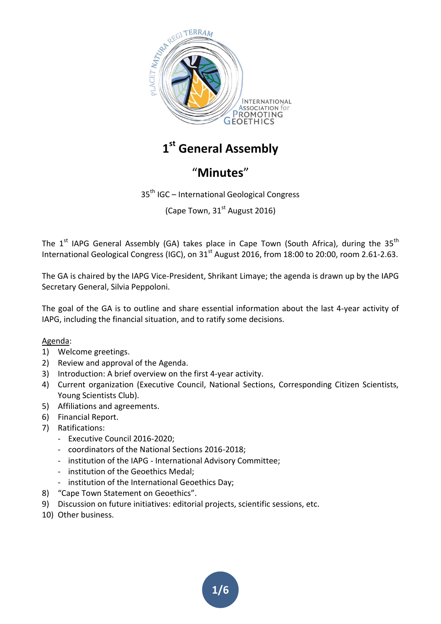

**1 st General Assembly**

# "**Minutes**"

35th IGC – International Geological Congress

(Cape Town, 31<sup>st</sup> August 2016)

The  $1<sup>st</sup>$  IAPG General Assembly (GA) takes place in Cape Town (South Africa), during the 35<sup>th</sup> International Geological Congress (IGC), on 31<sup>st</sup> August 2016, from 18:00 to 20:00, room 2.61-2.63.

The GA is chaired by the IAPG Vice-President, Shrikant Limaye; the agenda is drawn up by the IAPG Secretary General, Silvia Peppoloni.

The goal of the GA is to outline and share essential information about the last 4-year activity of IAPG, including the financial situation, and to ratify some decisions.

#### Agenda:

- 1) Welcome greetings.
- 2) Review and approval of the Agenda.
- 3) Introduction: A brief overview on the first 4-year activity.
- 4) Current organization (Executive Council, National Sections, Corresponding Citizen Scientists, Young Scientists Club).
- 5) Affiliations and agreements.
- 6) Financial Report.
- 7) Ratifications:
	- Executive Council 2016-2020;
	- coordinators of the National Sections 2016-2018;
	- institution of the IAPG International Advisory Committee;
	- institution of the Geoethics Medal;
	- institution of the International Geoethics Day;
- 8) "Cape Town Statement on Geoethics".
- 9) Discussion on future initiatives: editorial projects, scientific sessions, etc.
- 10) Other business.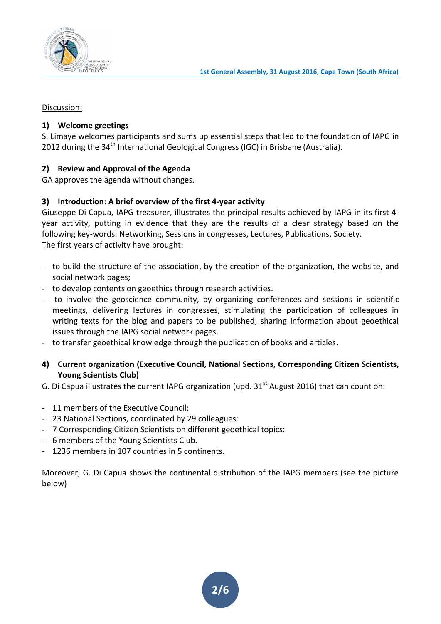

Discussion:

## **1) Welcome greetings**

S. Limaye welcomes participants and sums up essential steps that led to the foundation of IAPG in 2012 during the 34<sup>th</sup> International Geological Congress (IGC) in Brisbane (Australia).

## **2) Review and Approval of the Agenda**

GA approves the agenda without changes.

## **3) Introduction: A brief overview of the first 4-year activity**

Giuseppe Di Capua, IAPG treasurer, illustrates the principal results achieved by IAPG in its first 4 year activity, putting in evidence that they are the results of a clear strategy based on the following key-words: Networking, Sessions in congresses, Lectures, Publications, Society. The first years of activity have brought:

- to build the structure of the association, by the creation of the organization, the website, and social network pages;
- to develop contents on geoethics through research activities.
- to involve the geoscience community, by organizing conferences and sessions in scientific meetings, delivering lectures in congresses, stimulating the participation of colleagues in writing texts for the blog and papers to be published, sharing information about geoethical issues through the IAPG social network pages.
- to transfer geoethical knowledge through the publication of books and articles.
- **4) Current organization (Executive Council, National Sections, Corresponding Citizen Scientists, Young Scientists Club)**
- G. Di Capua illustrates the current IAPG organization (upd.  $31<sup>st</sup>$  August 2016) that can count on:
- 11 members of the Executive Council;
- 23 National Sections, coordinated by 29 colleagues:
- 7 Corresponding Citizen Scientists on different geoethical topics:
- 6 members of the Young Scientists Club.
- 1236 members in 107 countries in 5 continents.

Moreover, G. Di Capua shows the continental distribution of the IAPG members (see the picture below)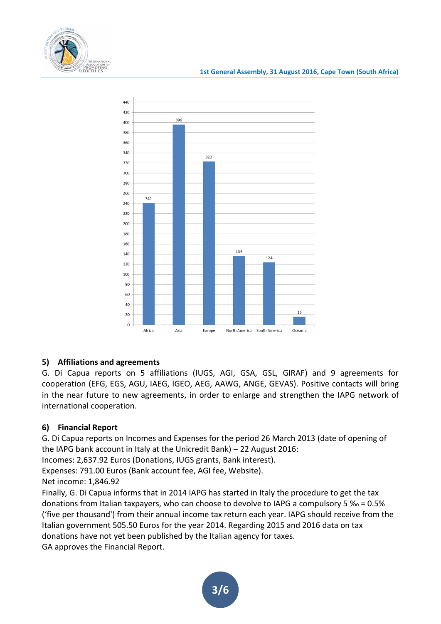



## **5) Affiliations and agreements**

G. Di Capua reports on 5 affiliations (IUGS, AGI, GSA, GSL, GIRAF) and 9 agreements for cooperation (EFG, EGS, AGU, IAEG, IGEO, AEG, AAWG, ANGE, GEVAS). Positive contacts will bring in the near future to new agreements, in order to enlarge and strengthen the IAPG network of international cooperation.

## **6) Financial Report**

G. Di Capua reports on Incomes and Expenses for the period 26 March 2013 (date of opening of the IAPG bank account in Italy at the Unicredit Bank) – 22 August 2016:

Incomes: 2,637.92 Euros (Donations, IUGS grants, Bank interest).

Expenses: 791.00 Euros (Bank account fee, AGI fee, Website).

Net income: 1,846.92

Finally, G. Di Capua informs that in 2014 IAPG has started in Italy the procedure to get the tax donations from Italian taxpayers, who can choose to devolve to IAPG a compulsory 5 ‰ = 0.5% ('five per thousand') from their annual income tax return each year. IAPG should receive from the Italian government 505.50 Euros for the year 2014. Regarding 2015 and 2016 data on tax donations have not yet been published by the Italian agency for taxes. GA approves the Financial Report.

**3/6**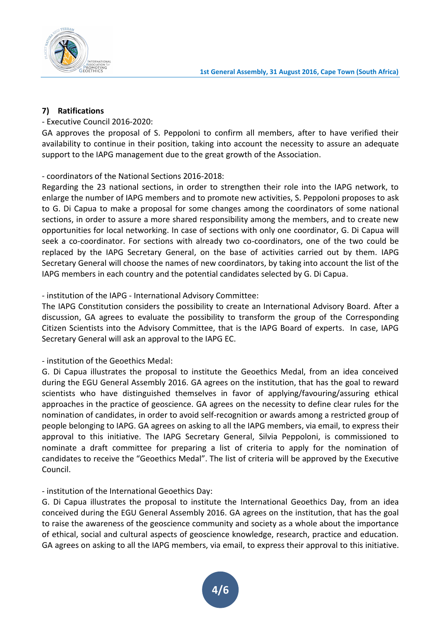

#### **7) Ratifications**

## - Executive Council 2016-2020:

GA approves the proposal of S. Peppoloni to confirm all members, after to have verified their availability to continue in their position, taking into account the necessity to assure an adequate support to the IAPG management due to the great growth of the Association.

## - coordinators of the National Sections 2016-2018:

Regarding the 23 national sections, in order to strengthen their role into the IAPG network, to enlarge the number of IAPG members and to promote new activities, S. Peppoloni proposes to ask to G. Di Capua to make a proposal for some changes among the coordinators of some national sections, in order to assure a more shared responsibility among the members, and to create new opportunities for local networking. In case of sections with only one coordinator, G. Di Capua will seek a co-coordinator. For sections with already two co-coordinators, one of the two could be replaced by the IAPG Secretary General, on the base of activities carried out by them. IAPG Secretary General will choose the names of new coordinators, by taking into account the list of the IAPG members in each country and the potential candidates selected by G. Di Capua.

## - institution of the IAPG - International Advisory Committee:

The IAPG Constitution considers the possibility to create an International Advisory Board. After a discussion, GA agrees to evaluate the possibility to transform the group of the Corresponding Citizen Scientists into the Advisory Committee, that is the IAPG Board of experts. In case, IAPG Secretary General will ask an approval to the IAPG EC.

#### - institution of the Geoethics Medal:

G. Di Capua illustrates the proposal to institute the Geoethics Medal, from an idea conceived during the EGU General Assembly 2016. GA agrees on the institution, that has the goal to reward scientists who have distinguished themselves in favor of applying/favouring/assuring ethical approaches in the practice of geoscience. GA agrees on the necessity to define clear rules for the nomination of candidates, in order to avoid self-recognition or awards among a restricted group of people belonging to IAPG. GA agrees on asking to all the IAPG members, via email, to express their approval to this initiative. The IAPG Secretary General, Silvia Peppoloni, is commissioned to nominate a draft committee for preparing a list of criteria to apply for the nomination of candidates to receive the "Geoethics Medal". The list of criteria will be approved by the Executive Council.

## - institution of the International Geoethics Day:

G. Di Capua illustrates the proposal to institute the International Geoethics Day, from an idea conceived during the EGU General Assembly 2016. GA agrees on the institution, that has the goal to raise the awareness of the geoscience community and society as a whole about the importance of ethical, social and cultural aspects of geoscience knowledge, research, practice and education. GA agrees on asking to all the IAPG members, via email, to express their approval to this initiative.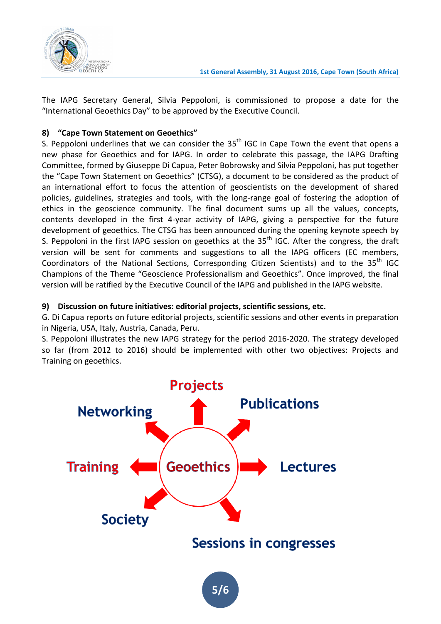

The IAPG Secretary General, Silvia Peppoloni, is commissioned to propose a date for the "International Geoethics Day" to be approved by the Executive Council.

# **8) "Cape Town Statement on Geoethics"**

S. Peppoloni underlines that we can consider the  $35<sup>th</sup>$  IGC in Cape Town the event that opens a new phase for Geoethics and for IAPG. In order to celebrate this passage, the IAPG Drafting Committee, formed by Giuseppe Di Capua, Peter Bobrowsky and Silvia Peppoloni, has put together the "Cape Town Statement on Geoethics" (CTSG), a document to be considered as the product of an international effort to focus the attention of geoscientists on the development of shared policies, guidelines, strategies and tools, with the long-range goal of fostering the adoption of ethics in the geoscience community. The final document sums up all the values, concepts, contents developed in the first 4-year activity of IAPG, giving a perspective for the future development of geoethics. The CTSG has been announced during the opening keynote speech by S. Peppoloni in the first IAPG session on geoethics at the  $35<sup>th</sup>$  IGC. After the congress, the draft version will be sent for comments and suggestions to all the IAPG officers (EC members, Coordinators of the National Sections, Corresponding Citizen Scientists) and to the 35<sup>th</sup> IGC Champions of the Theme "Geoscience Professionalism and Geoethics". Once improved, the final version will be ratified by the Executive Council of the IAPG and published in the IAPG website.

## **9) Discussion on future initiatives: editorial projects, scientific sessions, etc.**

G. Di Capua reports on future editorial projects, scientific sessions and other events in preparation in Nigeria, USA, Italy, Austria, Canada, Peru.

S. Peppoloni illustrates the new IAPG strategy for the period 2016-2020. The strategy developed so far (from 2012 to 2016) should be implemented with other two objectives: Projects and Training on geoethics.